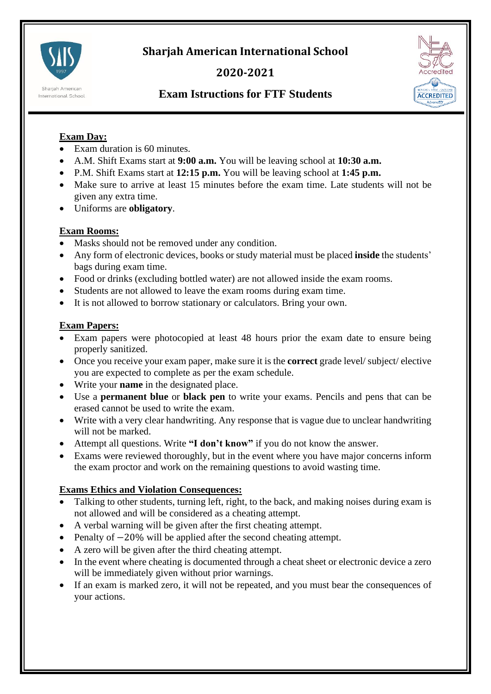



## **2020-2021**



# **Exam Istructions for FTF Students**

### **Exam Day:**

- Exam duration is 60 minutes.
- A.M. Shift Exams start at **9:00 a.m.** You will be leaving school at **10:30 a.m.**
- P.M. Shift Exams start at **12:15 p.m.** You will be leaving school at **1:45 p.m.**
- Make sure to arrive at least 15 minutes before the exam time. Late students will not be given any extra time.
- Uniforms are **obligatory**.

#### **Exam Rooms:**

- Masks should not be removed under any condition.
- Any form of electronic devices, books or study material must be placed **inside** the students' bags during exam time.
- Food or drinks (excluding bottled water) are not allowed inside the exam rooms.
- Students are not allowed to leave the exam rooms during exam time.
- It is not allowed to borrow stationary or calculators. Bring your own.

#### **Exam Papers:**

- Exam papers were photocopied at least 48 hours prior the exam date to ensure being properly sanitized.
- Once you receive your exam paper, make sure it is the **correct** grade level/ subject/ elective you are expected to complete as per the exam schedule.
- Write your **name** in the designated place.
- Use a **permanent blue** or **black pen** to write your exams. Pencils and pens that can be erased cannot be used to write the exam.
- Write with a very clear handwriting. Any response that is vague due to unclear handwriting will not be marked.
- Attempt all questions. Write **"I don't know"** if you do not know the answer.
- Exams were reviewed thoroughly, but in the event where you have major concerns inform the exam proctor and work on the remaining questions to avoid wasting time.

### **Exams Ethics and Violation Consequences:**

- Talking to other students, turning left, right, to the back, and making noises during exam is not allowed and will be considered as a cheating attempt.
- A verbal warning will be given after the first cheating attempt.
- Penalty of −20% will be applied after the second cheating attempt.
- A zero will be given after the third cheating attempt.
- In the event where cheating is documented through a cheat sheet or electronic device a zero will be immediately given without prior warnings.
- If an exam is marked zero, it will not be repeated, and you must bear the consequences of your actions.